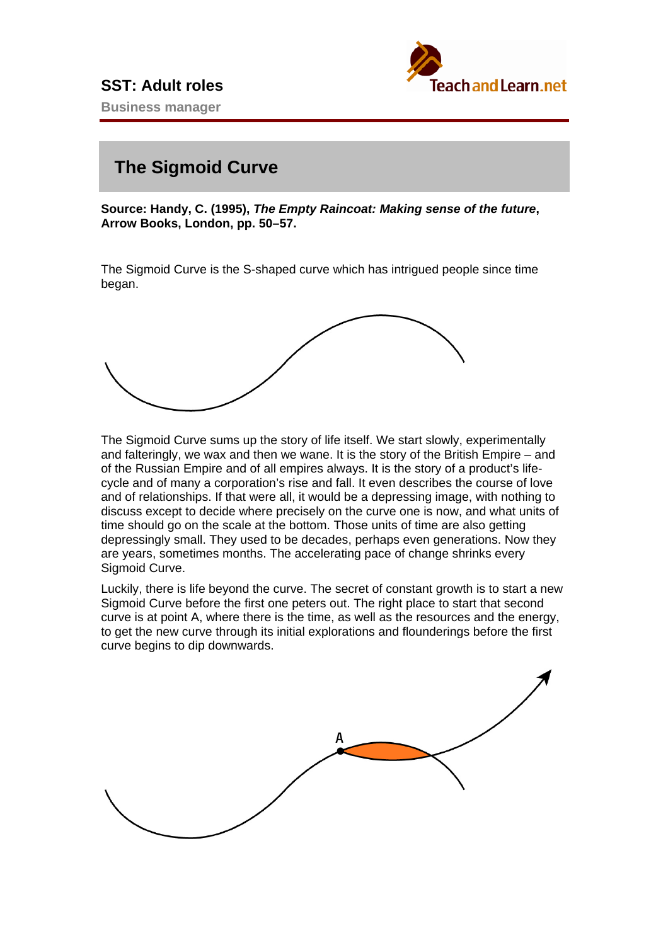

## **The Sigmoid Curve**

**Source: Handy, C. (1995),** *The Empty Raincoat: Making sense of the future***, Arrow Books, London, pp. 50–57.**

The Sigmoid Curve is the S-shaped curve which has intrigued people since time began.



The Sigmoid Curve sums up the story of life itself. We start slowly, experimentally and falteringly, we wax and then we wane. It is the story of the British Empire – and of the Russian Empire and of all empires always. It is the story of a product's lifecycle and of many a corporation's rise and fall. It even describes the course of love and of relationships. If that were all, it would be a depressing image, with nothing to discuss except to decide where precisely on the curve one is now, and what units of time should go on the scale at the bottom. Those units of time are also getting depressingly small. They used to be decades, perhaps even generations. Now they are years, sometimes months. The accelerating pace of change shrinks every Sigmoid Curve.

Luckily, there is life beyond the curve. The secret of constant growth is to start a new Sigmoid Curve before the first one peters out. The right place to start that second curve is at point A, where there is the time, as well as the resources and the energy, to get the new curve through its initial explorations and flounderings before the first curve begins to dip downwards.

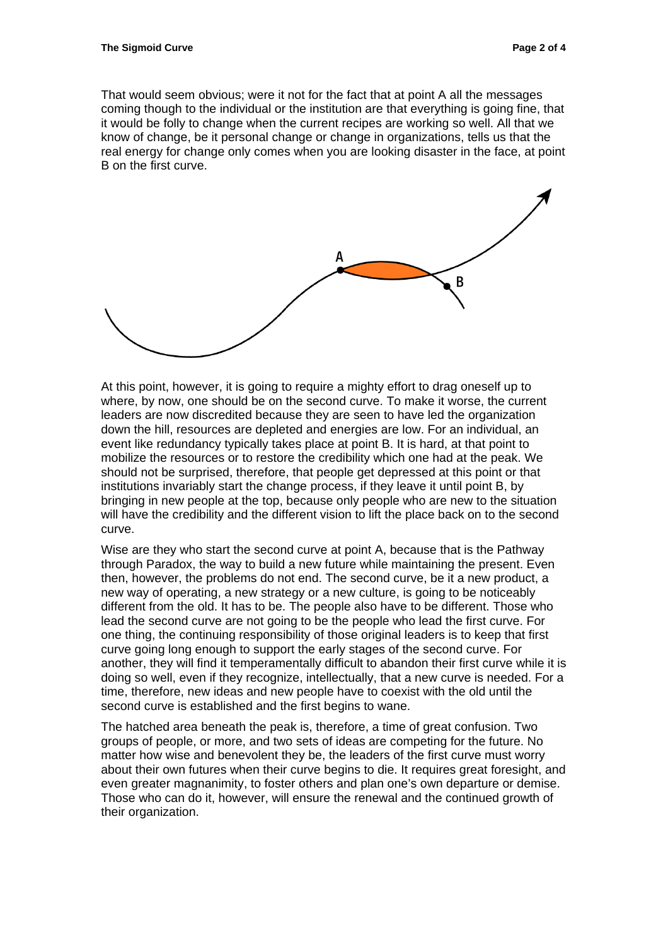That would seem obvious; were it not for the fact that at point A all the messages coming though to the individual or the institution are that everything is going fine, that it would be folly to change when the current recipes are working so well. All that we know of change, be it personal change or change in organizations, tells us that the real energy for change only comes when you are looking disaster in the face, at point B on the first curve.

А B

At this point, however, it is going to require a mighty effort to drag oneself up to where, by now, one should be on the second curve. To make it worse, the current leaders are now discredited because they are seen to have led the organization down the hill, resources are depleted and energies are low. For an individual, an event like redundancy typically takes place at point B. It is hard, at that point to mobilize the resources or to restore the credibility which one had at the peak. We should not be surprised, therefore, that people get depressed at this point or that institutions invariably start the change process, if they leave it until point B, by bringing in new people at the top, because only people who are new to the situation will have the credibility and the different vision to lift the place back on to the second curve.

Wise are they who start the second curve at point A, because that is the Pathway through Paradox, the way to build a new future while maintaining the present. Even then, however, the problems do not end. The second curve, be it a new product, a new way of operating, a new strategy or a new culture, is going to be noticeably different from the old. It has to be. The people also have to be different. Those who lead the second curve are not going to be the people who lead the first curve. For one thing, the continuing responsibility of those original leaders is to keep that first curve going long enough to support the early stages of the second curve. For another, they will find it temperamentally difficult to abandon their first curve while it is doing so well, even if they recognize, intellectually, that a new curve is needed. For a time, therefore, new ideas and new people have to coexist with the old until the second curve is established and the first begins to wane.

The hatched area beneath the peak is, therefore, a time of great confusion. Two groups of people, or more, and two sets of ideas are competing for the future. No matter how wise and benevolent they be, the leaders of the first curve must worry about their own futures when their curve begins to die. It requires great foresight, and even greater magnanimity, to foster others and plan one's own departure or demise. Those who can do it, however, will ensure the renewal and the continued growth of their organization.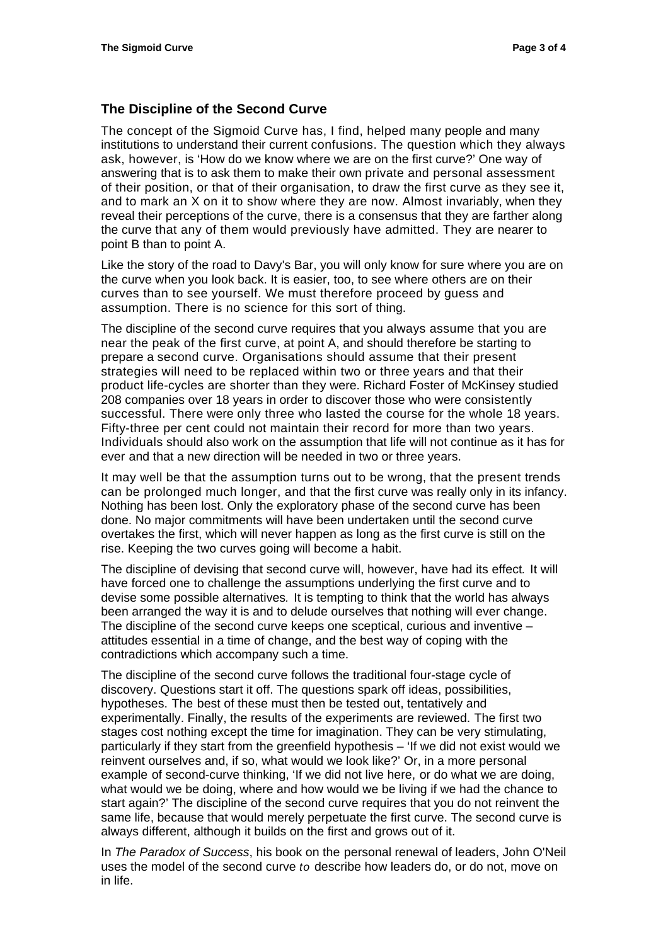## **The Discipline of the Second Curve**

The concept of the Sigmoid Curve has, I find, helped many people and many institutions to understand their current confusions. The question which they always ask, however, is 'How do we know where we are on the first curve?' One way of answering that is to ask them to make their own private and personal assessment of their position, or that of their organisation, to draw the first curve as they see it, and to mark an X on it to show where they are now. Almost invariably, when they reveal their perceptions of the curve, there is a consensus that they are farther along the curve that any of them would previously have admitted. They are nearer to point B than to point A.

Like the story of the road to Davy's Bar, you will only know for sure where you are on the curve when you look back. It is easier, too, to see where others are on their curves than to see yourself. We must therefore proceed by guess and assumption. There is no science for this sort of thing.

The discipline of the second curve requires that you always assume that you are near the peak of the first curve, at point A, and should therefore be starting to prepare a second curve. Organisations should assume that their present strategies will need to be replaced within two or three years and that their product life-cycles are shorter than they were. Richard Foster of McKinsey studied 208 companies over 18 years in order to discover those who were consistently successful. There were only three who lasted the course for the whole 18 years. Fifty-three per cent could not maintain their record for more than two years. Individuals should also work on the assumption that life will not continue as it has for ever and that a new direction will be needed in two or three years.

It may well be that the assumption turns out to be wrong, that the present trends can be prolonged much longer, and that the first curve was really only in its infancy. Nothing has been lost. Only the exploratory phase of the second curve has been done. No major commitments will have been undertaken until the second curve overtakes the first, which will never happen as long as the first curve is still on the rise. Keeping the two curves going will become a habit.

The discipline of devising that second curve will, however, have had its effect*.* It will have forced one to challenge the assumptions underlying the first curve and to devise some possible alternatives*.* It is tempting to think that the world has always been arranged the way it is and to delude ourselves that nothing will ever change. The discipline of the second curve keeps one sceptical, curious and inventive – attitudes essential in a time of change, and the best way of coping with the contradictions which accompany such a time.

The discipline of the second curve follows the traditional four-stage cycle of discovery. Questions start it off. The questions spark off ideas, possibilities, hypotheses. The best of these must then be tested out, tentatively and experimentally. Finally, the results of the experiments are reviewed. The first two stages cost nothing except the time for imagination. They can be very stimulating, particularly if they start from the greenfield hypothesis – 'If we did not exist would we reinvent ourselves and, if so, what would we look like?' Or, in a more personal example of second-curve thinking, 'If we did not live here, or do what we are doing, what would we be doing, where and how would we be living if we had the chance to start again?' The discipline of the second curve requires that you do not reinvent the same life, because that would merely perpetuate the first curve. The second curve is always different, although it builds on the first and grows out of it.

In *The Paradox of Success*, his book on the personal renewal of leaders, John O'Neil uses the model of the second curve *to* describe how leaders do, or do not, move on in life.